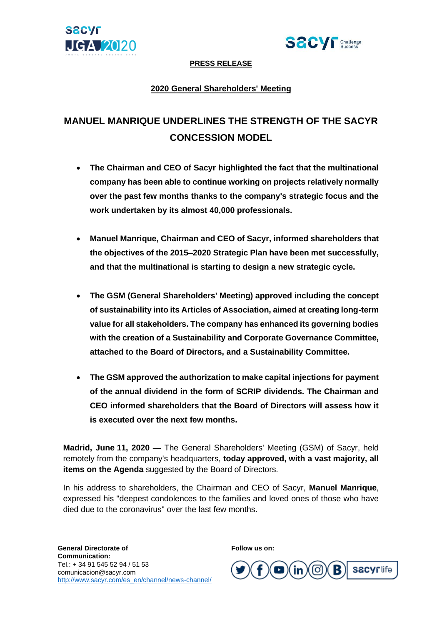



# **PRESS RELEASE**

# **2020 General Shareholders' Meeting**

# **MANUEL MANRIQUE UNDERLINES THE STRENGTH OF THE SACYR CONCESSION MODEL**

- **The Chairman and CEO of Sacyr highlighted the fact that the multinational company has been able to continue working on projects relatively normally over the past few months thanks to the company's strategic focus and the work undertaken by its almost 40,000 professionals.**
- **Manuel Manrique, Chairman and CEO of Sacyr, informed shareholders that the objectives of the 2015–2020 Strategic Plan have been met successfully, and that the multinational is starting to design a new strategic cycle.**
- **The GSM (General Shareholders' Meeting) approved including the concept of sustainability into its Articles of Association, aimed at creating long-term value for all stakeholders. The company has enhanced its governing bodies with the creation of a Sustainability and Corporate Governance Committee, attached to the Board of Directors, and a Sustainability Committee.**
- **The GSM approved the authorization to make capital injections for payment of the annual dividend in the form of SCRIP dividends. The Chairman and CEO informed shareholders that the Board of Directors will assess how it is executed over the next few months.**

**Madrid, June 11, 2020 —** The General Shareholders' Meeting (GSM) of Sacyr, held remotely from the company's headquarters, **today approved, with a vast majority, all items on the Agenda** suggested by the Board of Directors.

In his address to shareholders, the Chairman and CEO of Sacyr, **Manuel Manrique**, expressed his "deepest condolences to the families and loved ones of those who have died due to the coronavirus" over the last few months.

**Follow us on:** 

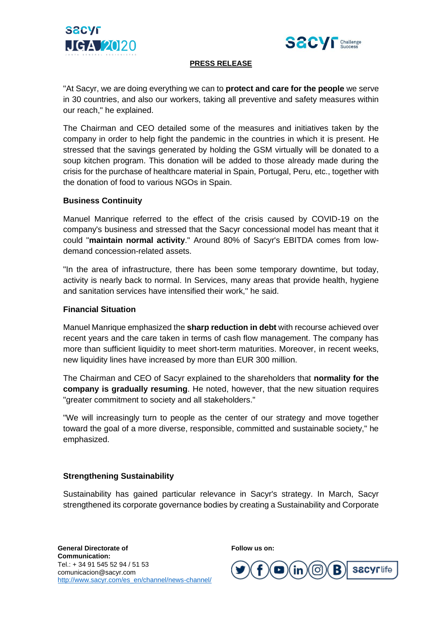



## **PRESS RELEASE**

"At Sacyr, we are doing everything we can to **protect and care for the people** we serve in 30 countries, and also our workers, taking all preventive and safety measures within our reach," he explained.

The Chairman and CEO detailed some of the measures and initiatives taken by the company in order to help fight the pandemic in the countries in which it is present. He stressed that the savings generated by holding the GSM virtually will be donated to a soup kitchen program. This donation will be added to those already made during the crisis for the purchase of healthcare material in Spain, Portugal, Peru, etc., together with the donation of food to various NGOs in Spain.

#### **Business Continuity**

Manuel Manrique referred to the effect of the crisis caused by COVID-19 on the company's business and stressed that the Sacyr concessional model has meant that it could "**maintain normal activity**." Around 80% of Sacyr's EBITDA comes from lowdemand concession-related assets.

"In the area of infrastructure, there has been some temporary downtime, but today, activity is nearly back to normal. In Services, many areas that provide health, hygiene and sanitation services have intensified their work," he said.

#### **Financial Situation**

Manuel Manrique emphasized the **sharp reduction in debt** with recourse achieved over recent years and the care taken in terms of cash flow management. The company has more than sufficient liquidity to meet short-term maturities. Moreover, in recent weeks, new liquidity lines have increased by more than EUR 300 million.

The Chairman and CEO of Sacyr explained to the shareholders that **normality for the company is gradually resuming**. He noted, however, that the new situation requires "greater commitment to society and all stakeholders."

"We will increasingly turn to people as the center of our strategy and move together toward the goal of a more diverse, responsible, committed and sustainable society," he emphasized.

# **Strengthening Sustainability**

Sustainability has gained particular relevance in Sacyr's strategy. In March, Sacyr strengthened its corporate governance bodies by creating a Sustainability and Corporate

**Follow us on:**